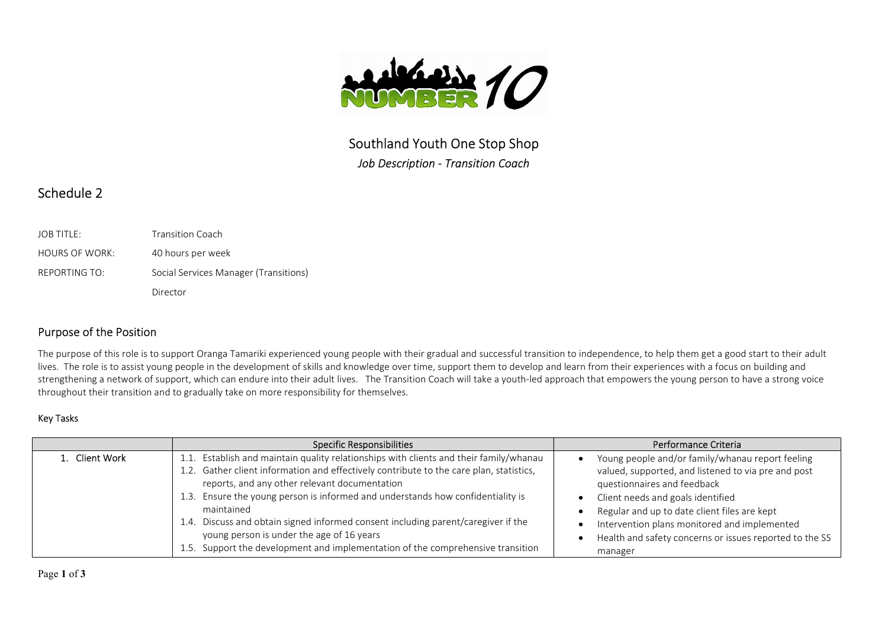

Southland Youth One Stop Shop Job Description - Transition Coach

# Schedule 2

| <b>JOB TITLE:</b>     | <b>Transition Coach</b>               |
|-----------------------|---------------------------------------|
| <b>HOURS OF WORK:</b> | 40 hours per week                     |
| REPORTING TO:         | Social Services Manager (Transitions) |
|                       | Director                              |

## Purpose of the Position

The purpose of this role is to support Oranga Tamariki experienced young people with their gradual and successful transition to independence, to help them get a good start to their adult lives. The role is to assist young people in the development of skills and knowledge over time, support them to develop and learn from their experiences with a focus on building and strengthening a network of support, which can endure into their adult lives. The Transition Coach will take a youth-led approach that empowers the young person to have a strong voice throughout their transition and to gradually take on more responsibility for themselves.

#### Key Tasks

|                | <b>Specific Responsibilities</b>                                                        | Performance Criteria                                    |
|----------------|-----------------------------------------------------------------------------------------|---------------------------------------------------------|
| 1. Client Work | 1.1. Establish and maintain quality relationships with clients and their family/whanau  | Young people and/or family/whanau report feeling        |
|                | 1.2. Gather client information and effectively contribute to the care plan, statistics, | valued, supported, and listened to via pre and post     |
|                | reports, and any other relevant documentation                                           | questionnaires and feedback                             |
|                | 1.3. Ensure the young person is informed and understands how confidentiality is         | Client needs and goals identified                       |
|                | maintained                                                                              | Regular and up to date client files are kept            |
|                | Discuss and obtain signed informed consent including parent/caregiver if the<br>1.4.    | Intervention plans monitored and implemented            |
|                | young person is under the age of 16 years                                               | Health and safety concerns or issues reported to the SS |
|                | 1.5. Support the development and implementation of the comprehensive transition         | manager                                                 |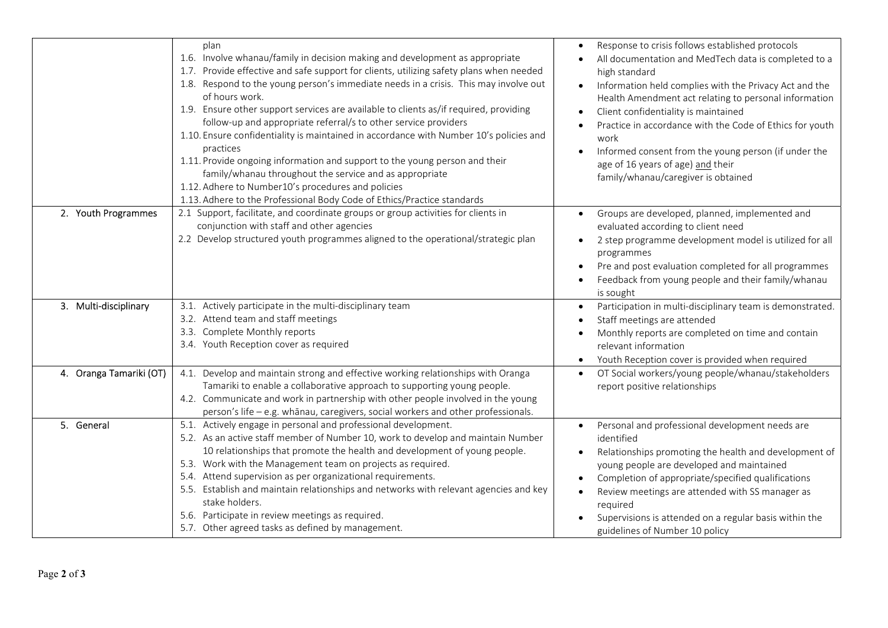|                         | plan<br>1.6. Involve whanau/family in decision making and development as appropriate<br>1.7. Provide effective and safe support for clients, utilizing safety plans when needed<br>1.8. Respond to the young person's immediate needs in a crisis. This may involve out<br>of hours work.<br>1.9. Ensure other support services are available to clients as/if required, providing<br>follow-up and appropriate referral/s to other service providers<br>1.10. Ensure confidentiality is maintained in accordance with Number 10's policies and<br>practices<br>1.11. Provide ongoing information and support to the young person and their<br>family/whanau throughout the service and as appropriate<br>1.12. Adhere to Number10's procedures and policies<br>1.13. Adhere to the Professional Body Code of Ethics/Practice standards | Response to crisis follows established protocols<br>All documentation and MedTech data is completed to a<br>high standard<br>Information held complies with the Privacy Act and the<br>Health Amendment act relating to personal information<br>Client confidentiality is maintained<br>Practice in accordance with the Code of Ethics for youth<br>work<br>Informed consent from the young person (if under the<br>age of 16 years of age) and their<br>family/whanau/caregiver is obtained |
|-------------------------|-----------------------------------------------------------------------------------------------------------------------------------------------------------------------------------------------------------------------------------------------------------------------------------------------------------------------------------------------------------------------------------------------------------------------------------------------------------------------------------------------------------------------------------------------------------------------------------------------------------------------------------------------------------------------------------------------------------------------------------------------------------------------------------------------------------------------------------------|----------------------------------------------------------------------------------------------------------------------------------------------------------------------------------------------------------------------------------------------------------------------------------------------------------------------------------------------------------------------------------------------------------------------------------------------------------------------------------------------|
| 2. Youth Programmes     | 2.1 Support, facilitate, and coordinate groups or group activities for clients in<br>conjunction with staff and other agencies<br>2.2 Develop structured youth programmes aligned to the operational/strategic plan                                                                                                                                                                                                                                                                                                                                                                                                                                                                                                                                                                                                                     | Groups are developed, planned, implemented and<br>evaluated according to client need<br>2 step programme development model is utilized for all<br>programmes<br>Pre and post evaluation completed for all programmes<br>Feedback from young people and their family/whanau<br>is sought                                                                                                                                                                                                      |
| 3. Multi-disciplinary   | 3.1. Actively participate in the multi-disciplinary team<br>3.2. Attend team and staff meetings<br>3.3. Complete Monthly reports<br>3.4. Youth Reception cover as required                                                                                                                                                                                                                                                                                                                                                                                                                                                                                                                                                                                                                                                              | Participation in multi-disciplinary team is demonstrated.<br>Staff meetings are attended<br>Monthly reports are completed on time and contain<br>relevant information<br>Youth Reception cover is provided when required<br>$\bullet$                                                                                                                                                                                                                                                        |
| 4. Oranga Tamariki (OT) | 4.1. Develop and maintain strong and effective working relationships with Oranga<br>Tamariki to enable a collaborative approach to supporting young people.<br>4.2. Communicate and work in partnership with other people involved in the young<br>person's life - e.g. whānau, caregivers, social workers and other professionals.                                                                                                                                                                                                                                                                                                                                                                                                                                                                                                     | OT Social workers/young people/whanau/stakeholders<br>report positive relationships                                                                                                                                                                                                                                                                                                                                                                                                          |
| 5. General              | 5.1. Actively engage in personal and professional development.<br>5.2. As an active staff member of Number 10, work to develop and maintain Number<br>10 relationships that promote the health and development of young people.<br>5.3. Work with the Management team on projects as required.<br>5.4. Attend supervision as per organizational requirements.<br>5.5. Establish and maintain relationships and networks with relevant agencies and key<br>stake holders.<br>5.6. Participate in review meetings as required.<br>5.7. Other agreed tasks as defined by management.                                                                                                                                                                                                                                                       | Personal and professional development needs are<br>identified<br>Relationships promoting the health and development of<br>young people are developed and maintained<br>Completion of appropriate/specified qualifications<br>Review meetings are attended with SS manager as<br>required<br>Supervisions is attended on a regular basis within the<br>guidelines of Number 10 policy                                                                                                         |